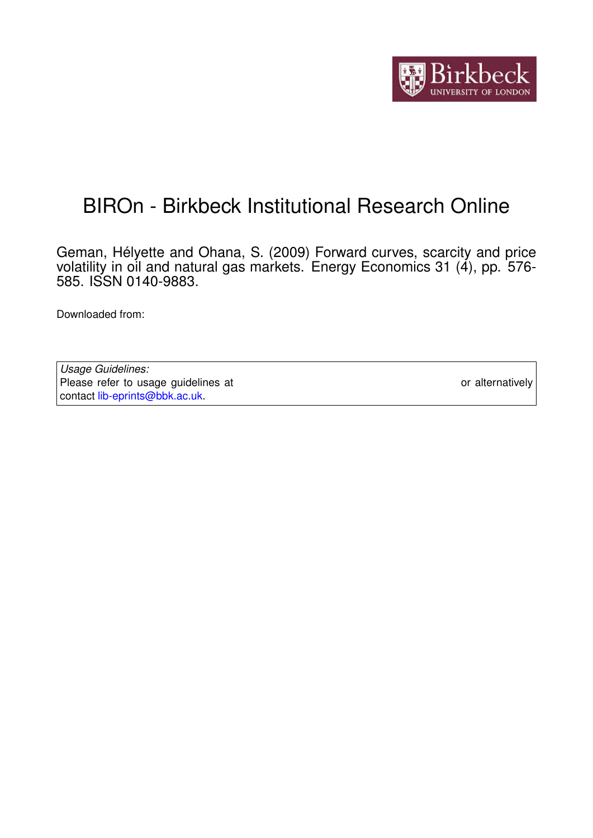

# BIROn - Birkbeck Institutional Research Online

Geman, Hélyette and Ohana, S. (2009) Forward curves, scarcity and price volatility in oil and natural gas markets. Energy Economics 31 (4), pp. 576- 585. ISSN 0140-9883.

Downloaded from: <https://eprints.bbk.ac.uk/id/eprint/1942/>

*Usage Guidelines:* Please refer to usage guidelines at <https://eprints.bbk.ac.uk/policies.html> or alternatively contact [lib-eprints@bbk.ac.uk.](mailto:lib-eprints@bbk.ac.uk)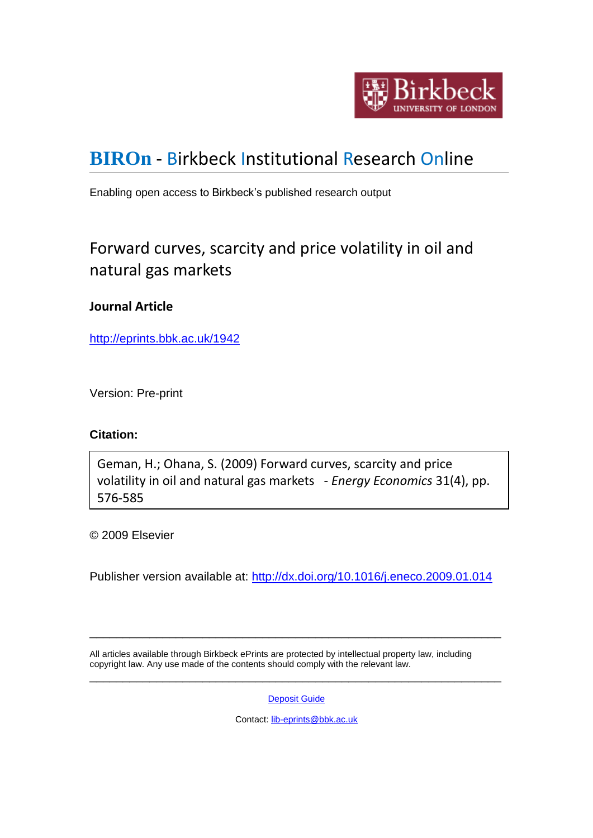

# **[BIROn](http://eprints.bbk.ac.uk/irstats.cgi)** - Birkbeck Institutional Research Online

Enabling open access to Birkbeck's published research output

# Forward curves, scarcity and price volatility in oil and natural gas markets

# **Journal Article**

<http://eprints.bbk.ac.uk/1942>

Version: Pre-print

## **Citation:**

Geman, H.; Ohana, S. (2009) Forward curves, scarcity and price volatility in oil and natural gas markets - *Energy Economics* 31(4), pp. 576-585

© 2009 Elsevier

Publisher version available at: <http://dx.doi.org/10.1016/j.eneco.2009.01.014>

All articles available through Birkbeck ePrints are protected by intellectual property law, including copyright law. Any use made of the contents should comply with the relevant law. \_\_\_\_\_\_\_\_\_\_\_\_\_\_\_\_\_\_\_\_\_\_\_\_\_\_\_\_\_\_\_\_\_\_\_\_\_\_\_\_\_\_\_\_\_\_\_\_\_\_\_\_\_\_\_\_\_\_\_\_\_\_

[Deposit Guide](http://eprints.bbk.ac.uk/deposit_guide.html)

\_\_\_\_\_\_\_\_\_\_\_\_\_\_\_\_\_\_\_\_\_\_\_\_\_\_\_\_\_\_\_\_\_\_\_\_\_\_\_\_\_\_\_\_\_\_\_\_\_\_\_\_\_\_\_\_\_\_\_\_\_\_

Contact: [lib-eprints@bbk.ac.uk](mailto:lib-eprints@bbk.ac.uk)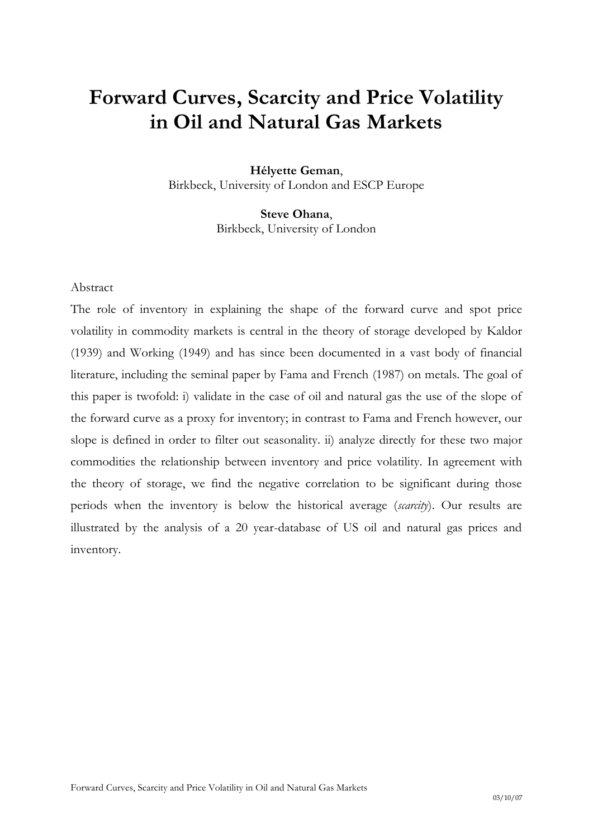# **Forward Curves, Scarcity and Price Volatility in Oil and Natural Gas Markets**

**Hélyette Geman**, Birkbeck, University of London and ESCP Europe

> **Steve Ohana**, Birkbeck, University of London

### Abstract

The role of inventory in explaining the shape of the forward curve and spot price volatility in commodity markets is central in the theory of storage developed by Kaldor (1939) and Working (1949) and has since been documented in a vast body of financial literature, including the seminal paper by Fama and French (1987) on metals. The goal of this paper is twofold: i) validate in the case of oil and natural gas the use of the slope of the forward curve as a proxy for inventory; in contrast to Fama and French however, our slope is defined in order to filter out seasonality. ii) analyze directly for these two major commodities the relationship between inventory and price volatility. In agreement with the theory of storage, we find the negative correlation to be significant during those periods when the inventory is below the historical average (*scarcity*). Our results are illustrated by the analysis of a 20 year-database of US oil and natural gas prices and inventory.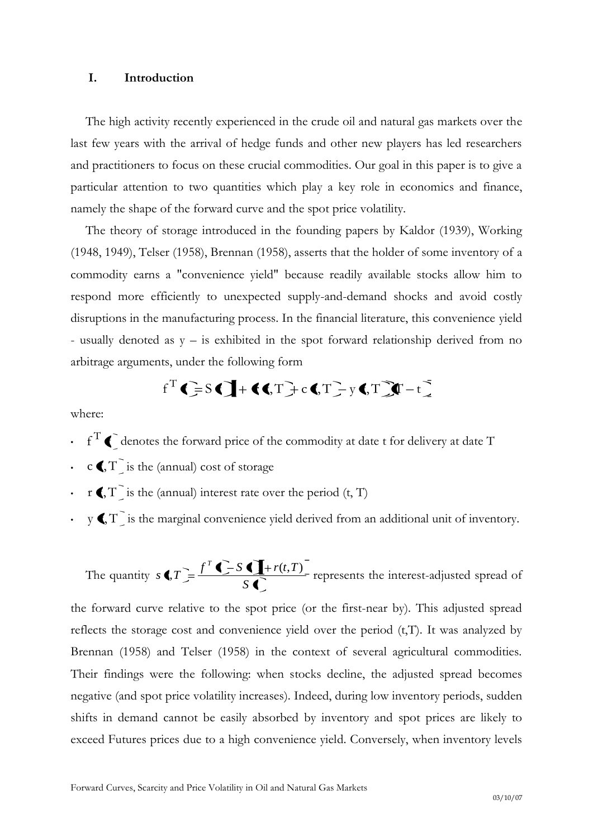#### **I. Introduction**

The high activity recently experienced in the crude oil and natural gas markets over the last few years with the arrival of hedge funds and other new players has led researchers and practitioners to focus on these crucial commodities. Our goal in this paper is to give a particular attention to two quantities which play a key role in economics and finance, namely the shape of the forward curve and the spot price volatility.

The theory of storage introduced in the founding papers by Kaldor (1939), Working (1948, 1949), Telser (1958), Brennan (1958), asserts that the holder of some inventory of a commodity earns a "convenience yield" because readily available stocks allow him to respond more efficiently to unexpected supply-and-demand shocks and avoid costly disruptions in the manufacturing process. In the financial literature, this convenience yield - usually denoted as y – is exhibited in the spot forward relationship derived from no arbitrage arguments, under the following form

$$
f^T
$$
 $\left( \frac{1}{2} S \right) + \left( \left( \frac{1}{2} \right) C \right) + C \left( \frac{1}{2} T \right) + C \left( \frac{1}{2} T \right) + C \left( \frac{1}{2} T \right) + C \left( \frac{1}{2} T \right) + C \left( \frac{1}{2} T \right) + C \left( \frac{1}{2} T \right) + C \left( \frac{1}{2} T \right) + C \left( \frac{1}{2} T \right) + C \left( \frac{1}{2} T \right) + C \left( \frac{1}{2} T \right) + C \left( \frac{1}{2} T \right) + C \left( \frac{1}{2} T \right) + C \left( \frac{1}{2} T \right) + C \left( \frac{1}{2} T \right) + C \left( \frac{1}{2} T \right) + C \left( \frac{1}{2} T \right) + C \left( \frac{1}{2} T \right) + C \left( \frac{1}{2} T \right) + C \left( \frac{1}{2} T \right) + C \left( \frac{1}{2} T \right) + C \left( \frac{1}{2} T \right) + C \left( \frac{1}{2} T \right) + C \left( \frac{1}{2} T \right) + C \left( \frac{1}{2} T \right) + C \left( \frac{1}{2} T \right) + C \left( \frac{1}{2} T \right) + C \left( \frac{1}{2} T \right) + C \left( \frac{1}{2} T \right) + C \left( \frac{1}{2} T \right) + C \left( \frac{1}{2} T \right) + C \left( \frac{1}{2} T \right) + C \left( \frac{1}{2} T \right) + C \left( \frac{1}{2} T \right) + C \left( \frac{1}{2} T \right) + C \left( \frac{1}{2} T \right) + C \left( \frac{1}{2} T \right) + C \left( \frac{1}{2} T \right) + C \left( \frac{1}{2} T \right) + C \left( \frac{1}{2} T \right) + C \left( \frac{1}{2} T \right) + C \left( \frac{1}{2} T \right) + C \left( \frac{1}{2} T \right) + C \left( \frac{1}{2} T \right) + C \left( \frac{1}{2} T \right) + C \left( \frac{1}{2} T \right) +$ 

where:

- $f^T$   $\bigcap$  denotes the forward price of the commodity at date t for delivery at date T
- $c \in T$  is the (annual) cost of storage
- **r** $\langle$ , T is the (annual) interest rate over the period (t, T)
- $\cdot$  y  $\P, T$  is the marginal convenience yield derived from an additional unit of inventory.

The quantity *S t*  $f$  **f**  $f$   $f$   $f$   $f$   $f$   $f$   $f$   $f$   $f$  $T = f^T \sum S \prod + r(t,T)$  represents the interest-adjusted spread of

the forward curve relative to the spot price (or the first-near by). This adjusted spread reflects the storage cost and convenience yield over the period  $(t,T)$ . It was analyzed by Brennan (1958) and Telser (1958) in the context of several agricultural commodities. Their findings were the following: when stocks decline, the adjusted spread becomes negative (and spot price volatility increases). Indeed, during low inventory periods, sudden shifts in demand cannot be easily absorbed by inventory and spot prices are likely to exceed Futures prices due to a high convenience yield. Conversely, when inventory levels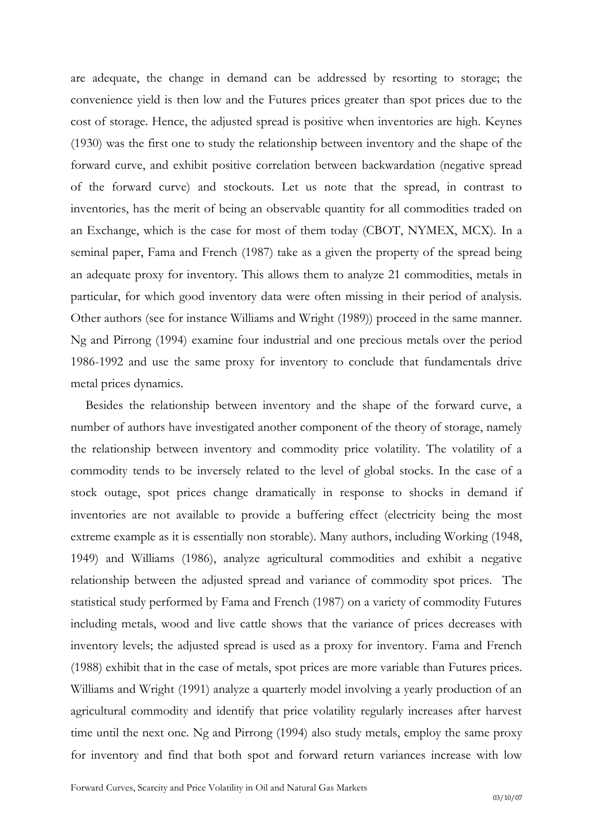are adequate, the change in demand can be addressed by resorting to storage; the convenience yield is then low and the Futures prices greater than spot prices due to the cost of storage. Hence, the adjusted spread is positive when inventories are high. Keynes (1930) was the first one to study the relationship between inventory and the shape of the forward curve, and exhibit positive correlation between backwardation (negative spread of the forward curve) and stockouts. Let us note that the spread, in contrast to inventories, has the merit of being an observable quantity for all commodities traded on an Exchange, which is the case for most of them today (CBOT, NYMEX, MCX). In a seminal paper, Fama and French (1987) take as a given the property of the spread being an adequate proxy for inventory. This allows them to analyze 21 commodities, metals in particular, for which good inventory data were often missing in their period of analysis. Other authors (see for instance Williams and Wright (1989)) proceed in the same manner. Ng and Pirrong (1994) examine four industrial and one precious metals over the period 1986-1992 and use the same proxy for inventory to conclude that fundamentals drive metal prices dynamics.

Besides the relationship between inventory and the shape of the forward curve, a number of authors have investigated another component of the theory of storage, namely the relationship between inventory and commodity price volatility. The volatility of a commodity tends to be inversely related to the level of global stocks. In the case of a stock outage, spot prices change dramatically in response to shocks in demand if inventories are not available to provide a buffering effect (electricity being the most extreme example as it is essentially non storable). Many authors, including Working (1948, 1949) and Williams (1986), analyze agricultural commodities and exhibit a negative relationship between the adjusted spread and variance of commodity spot prices. The statistical study performed by Fama and French (1987) on a variety of commodity Futures including metals, wood and live cattle shows that the variance of prices decreases with inventory levels; the adjusted spread is used as a proxy for inventory. Fama and French (1988) exhibit that in the case of metals, spot prices are more variable than Futures prices. Williams and Wright (1991) analyze a quarterly model involving a yearly production of an agricultural commodity and identify that price volatility regularly increases after harvest time until the next one. Ng and Pirrong (1994) also study metals, employ the same proxy for inventory and find that both spot and forward return variances increase with low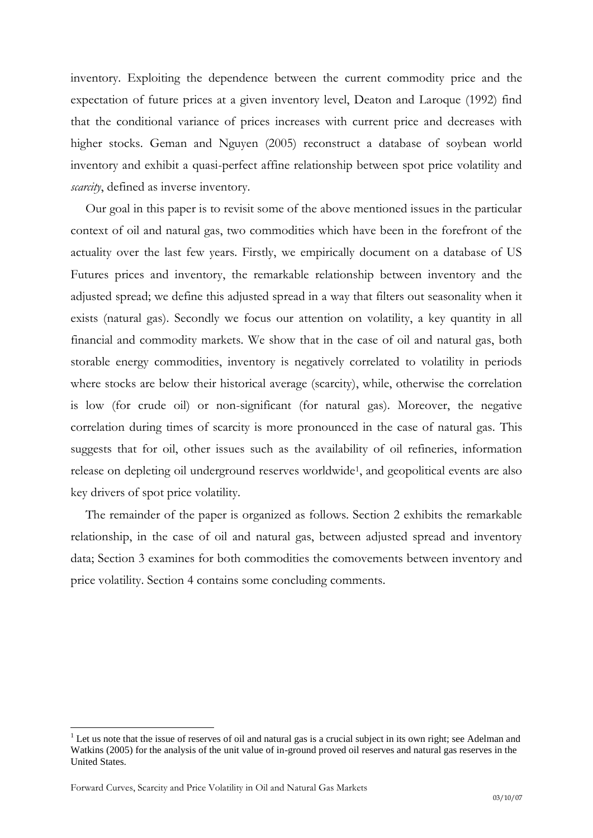inventory. Exploiting the dependence between the current commodity price and the expectation of future prices at a given inventory level, Deaton and Laroque (1992) find that the conditional variance of prices increases with current price and decreases with higher stocks. Geman and Nguyen (2005) reconstruct a database of soybean world inventory and exhibit a quasi-perfect affine relationship between spot price volatility and *scarcity*, defined as inverse inventory.

Our goal in this paper is to revisit some of the above mentioned issues in the particular context of oil and natural gas, two commodities which have been in the forefront of the actuality over the last few years. Firstly, we empirically document on a database of US Futures prices and inventory, the remarkable relationship between inventory and the adjusted spread; we define this adjusted spread in a way that filters out seasonality when it exists (natural gas). Secondly we focus our attention on volatility, a key quantity in all financial and commodity markets. We show that in the case of oil and natural gas, both storable energy commodities, inventory is negatively correlated to volatility in periods where stocks are below their historical average (scarcity), while, otherwise the correlation is low (for crude oil) or non-significant (for natural gas). Moreover, the negative correlation during times of scarcity is more pronounced in the case of natural gas. This suggests that for oil, other issues such as the availability of oil refineries, information release on depleting oil underground reserves worldwide<sup>1</sup>, and geopolitical events are also key drivers of spot price volatility.

The remainder of the paper is organized as follows. Section 2 exhibits the remarkable relationship, in the case of oil and natural gas, between adjusted spread and inventory data; Section 3 examines for both commodities the comovements between inventory and price volatility. Section 4 contains some concluding comments.

 $\overline{a}$ 

<sup>&</sup>lt;sup>1</sup> Let us note that the issue of reserves of oil and natural gas is a crucial subject in its own right; see Adelman and Watkins (2005) for the analysis of the unit value of in-ground proved oil reserves and natural gas reserves in the United States.

Forward Curves, Scarcity and Price Volatility in Oil and Natural Gas Markets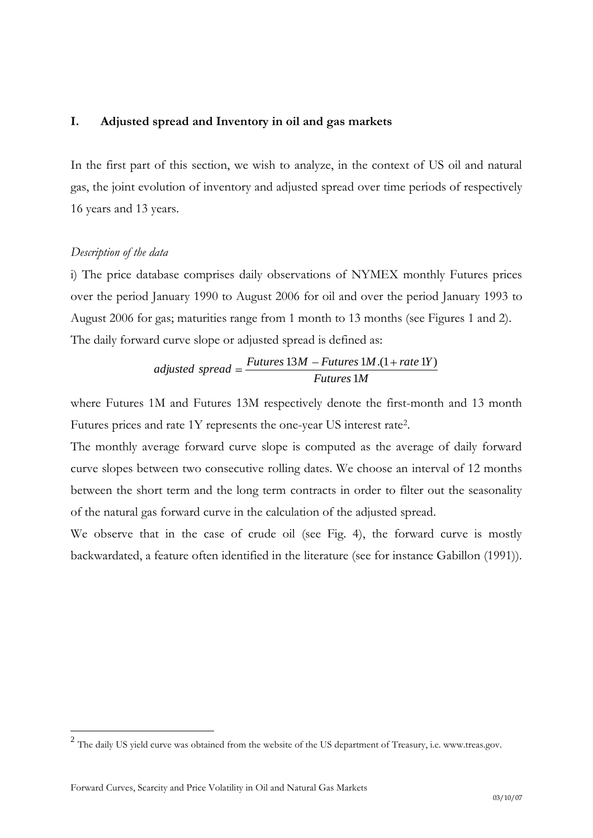## **I. Adjusted spread and Inventory in oil and gas markets**

In the first part of this section, we wish to analyze, in the context of US oil and natural gas, the joint evolution of inventory and adjusted spread over time periods of respectively 16 years and 13 years.

### *Description of the data*

i) The price database comprises daily observations of NYMEX monthly Futures prices over the period January 1990 to August 2006 for oil and over the period January 1993 to August 2006 for gas; maturities range from 1 month to 13 months (see Figures 1 and 2). The daily forward curve slope or adjusted spread is defined as:

adjusted spread = 
$$
\frac{Futures 13M - Futures 1M.(1 + rate 1Y)}{Futures 1M}
$$

where Futures 1M and Futures 13M respectively denote the first-month and 13 month Futures prices and rate 1Y represents the one-year US interest rate<sup>2</sup> .

The monthly average forward curve slope is computed as the average of daily forward curve slopes between two consecutive rolling dates. We choose an interval of 12 months between the short term and the long term contracts in order to filter out the seasonality of the natural gas forward curve in the calculation of the adjusted spread.

We observe that in the case of crude oil (see Fig. 4), the forward curve is mostly backwardated, a feature often identified in the literature (see for instance Gabillon (1991)).

<sup>&</sup>lt;sup>2</sup> The daily US yield curve was obtained from the website of the US department of Treasury, i.e. www.treas.gov.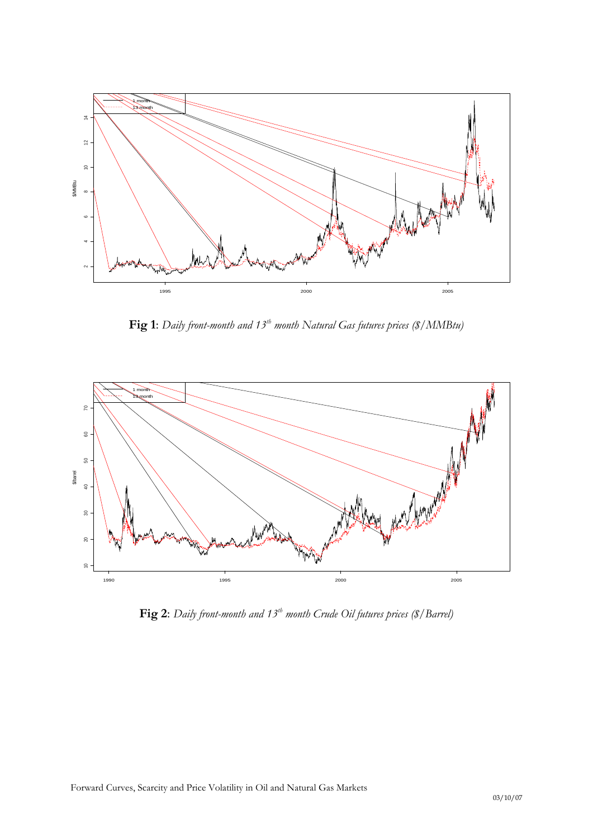

**Fig 1**: *Daily front-month and 13th month Natural Gas futures prices (\$/MMBtu)*



**Fig 2**: *Daily front-month and 13th month Crude Oil futures prices (\$/Barrel)*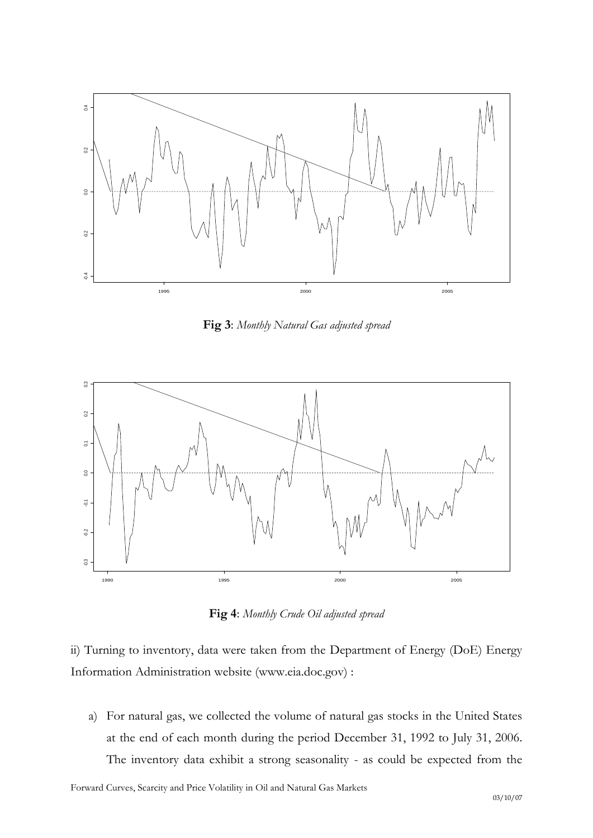

**Fig 3**: *Monthly Natural Gas adjusted spread*



**Fig 4**: *Monthly Crude Oil adjusted spread*

ii) Turning to inventory, data were taken from the Department of Energy (DoE) Energy Information Administration website [\(www.eia.doc.gov\)](http://www.eia.doc.gov/) :

a) For natural gas, we collected the volume of natural gas stocks in the United States at the end of each month during the period December 31, 1992 to July 31, 2006. The inventory data exhibit a strong seasonality - as could be expected from the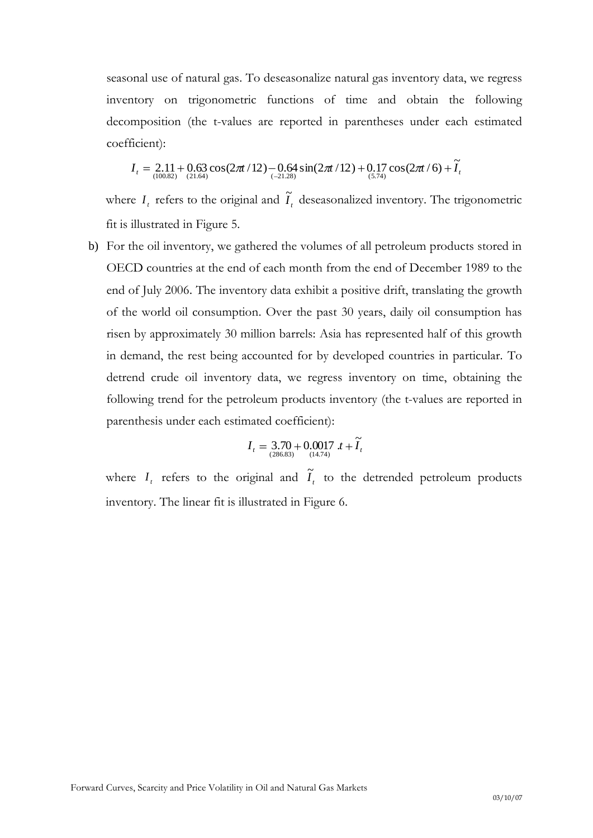seasonal use of natural gas. To deseasonalize natural gas inventory data, we regress inventory on trigonometric functions of time and obtain the following decomposition (the t-values are reported in parentheses under each estimated coefficient):

$$
I_t = 2.11 + 0.63 \cos(2\pi t/12) - 0.64 \sin(2\pi t/12) + 0.17 \cos(2\pi t/6) + \widetilde{I}_t
$$
  
(10.82) (10.82)

where  $I_t$  refers to the original and  $\tilde{I}_t$  deseasonalized inventory. The trigonometric fit is illustrated in Figure 5.

b) For the oil inventory, we gathered the volumes of all petroleum products stored in OECD countries at the end of each month from the end of December 1989 to the end of July 2006. The inventory data exhibit a positive drift, translating the growth of the world oil consumption. Over the past 30 years, daily oil consumption has risen by approximately 30 million barrels: Asia has represented half of this growth in demand, the rest being accounted for by developed countries in particular. To detrend crude oil inventory data, we regress inventory on time, obtaining the following trend for the petroleum products inventory (the t-values are reported in parenthesis under each estimated coefficient):

$$
I_t = \underset{(286.83)}{3.70} + 0.0017 \t t + \widetilde{I}_t
$$

where  $I_t$  refers to the original and  $\tilde{I}_t$  to the detrended petroleum products inventory. The linear fit is illustrated in Figure 6.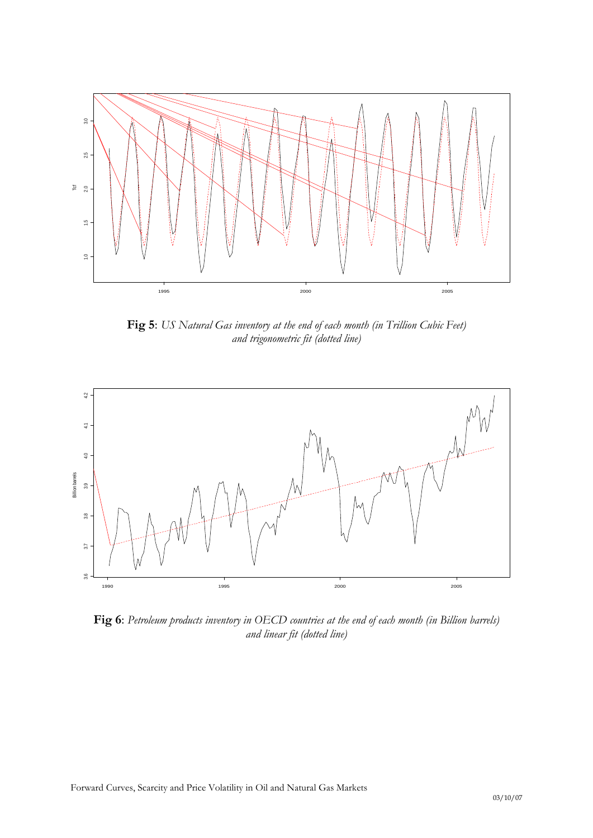

**Fig 5**: *US Natural Gas inventory at the end of each month (in Trillion Cubic Feet) and trigonometric fit (dotted line)*



**Fig 6**: *Petroleum products inventory in OECD countries at the end of each month (in Billion barrels) and linear fit (dotted line)*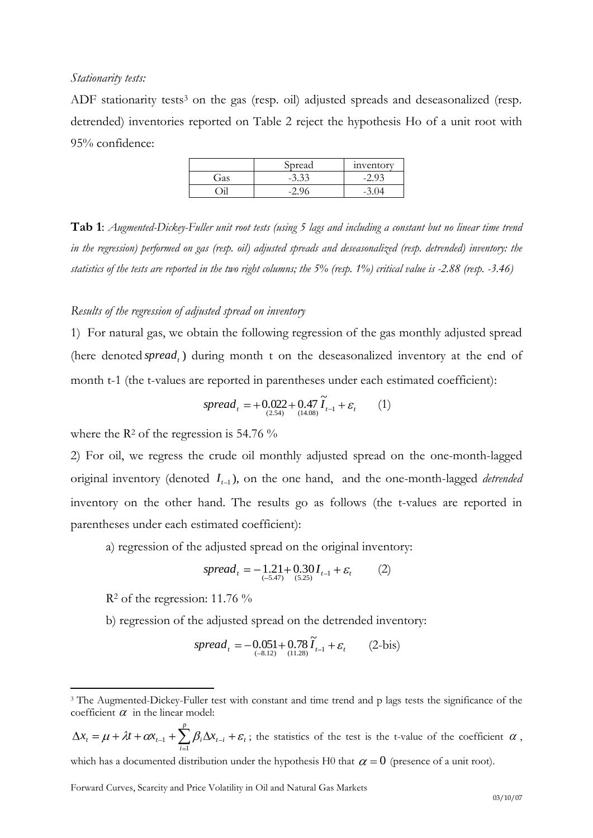#### *Stationarity tests:*

ADF stationarity tests<sup>3</sup> on the gas (resp. oil) adjusted spreads and deseasonalized (resp. detrended) inventories reported on Table 2 reject the hypothesis Ho of a unit root with 95% confidence:

|     | Spread  | inventory |
|-----|---------|-----------|
| Gas | $-3.33$ |           |
|     |         |           |

**Tab 1**: *Augmented-Dickey-Fuller unit root tests (using 5 lags and including a constant but no linear time trend in the regression) performed on gas (resp. oil) adjusted spreads and deseasonalized (resp. detrended) inventory: the statistics of the tests are reported in the two right columns; the 5% (resp. 1%) critical value is -2.88 (resp. -3.46)*

#### *Results of the regression of adjusted spread on inventory*

1) For natural gas, we obtain the following regression of the gas monthly adjusted spread (here denoted spread,) during month t on the deseasonalized inventory at the end of month t-1 (the t-values are reported in parentheses under each estimated coefficient):

$$
spread_{t} = +0.022 + 0.47 \widetilde{I}_{t-1} + \varepsilon_{t} \qquad (1)
$$

where the  $\mathbb{R}^2$  of the regression is 54.76 %

2) For oil, we regress the crude oil monthly adjusted spread on the one-month-lagged original inventory (denoted  $I_{t-1}$ ), on the one hand, and the one-month-lagged *detrended* inventory on the other hand. The results go as follows (the t-values are reported in parentheses under each estimated coefficient):

a) regression of the adjusted spread on the original inventory:

$$
spread_{t} = -1.21 + 0.30 I_{t-1} + \varepsilon_{t}
$$
 (2)

 $R<sup>2</sup>$  of the regression: 11.76 %

 $\overline{a}$ 

b) regression of the adjusted spread on the detrended inventory:

$$
spread_{t} = -0.051 + 0.78 \tilde{I}_{t-1} + \varepsilon_{t} \qquad (2-bis)
$$

 $_{t-i}$   $\top$   $\boldsymbol{\epsilon}$ <sub>t</sub> *p i*  $x_t = \mu + \lambda t + \alpha x_{t-1} + \sum \beta_i \Delta x$ 1  $\sum_{i=1}^{n} \sum_{i=1}^{n} \sum_{i=1}^{n} t_i + \varepsilon_i$ ; the statistics of the test is the t-value of the coefficient  $\alpha$ ,

which has a documented distribution under the hypothesis H0 that  $\alpha = 0$  (presence of a unit root).

<sup>3</sup> The Augmented-Dickey-Fuller test with constant and time trend and p lags tests the significance of the coefficient  $\alpha$  in the linear model: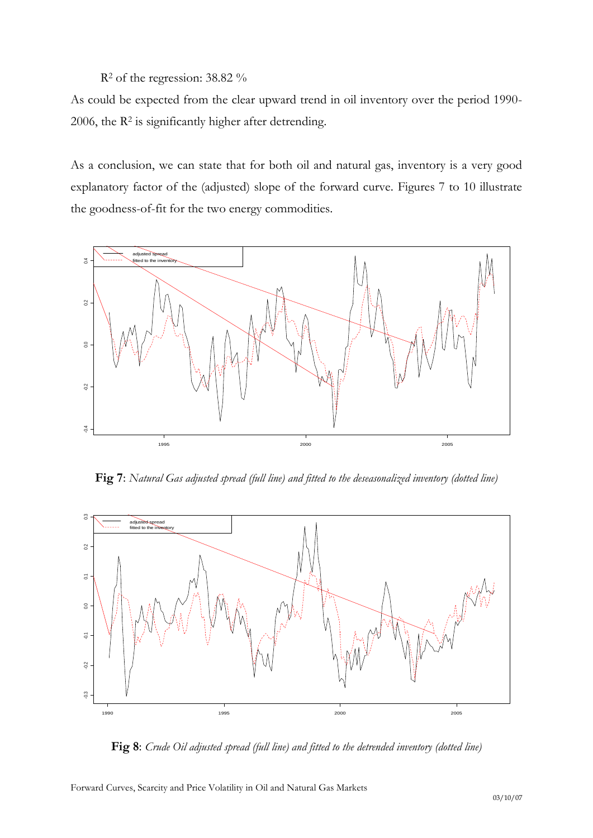### R<sup>2</sup> of the regression: 38.82 %

As could be expected from the clear upward trend in oil inventory over the period 1990- 2006, the R<sup>2</sup> is significantly higher after detrending.

As a conclusion, we can state that for both oil and natural gas, inventory is a very good explanatory factor of the (adjusted) slope of the forward curve. Figures 7 to 10 illustrate the goodness-of-fit for the two energy commodities.



**Fig 7**: *Natural Gas adjusted spread (full line) and fitted to the deseasonalized inventory (dotted line)*



**Fig 8**: *Crude Oil adjusted spread (full line) and fitted to the detrended inventory (dotted line)*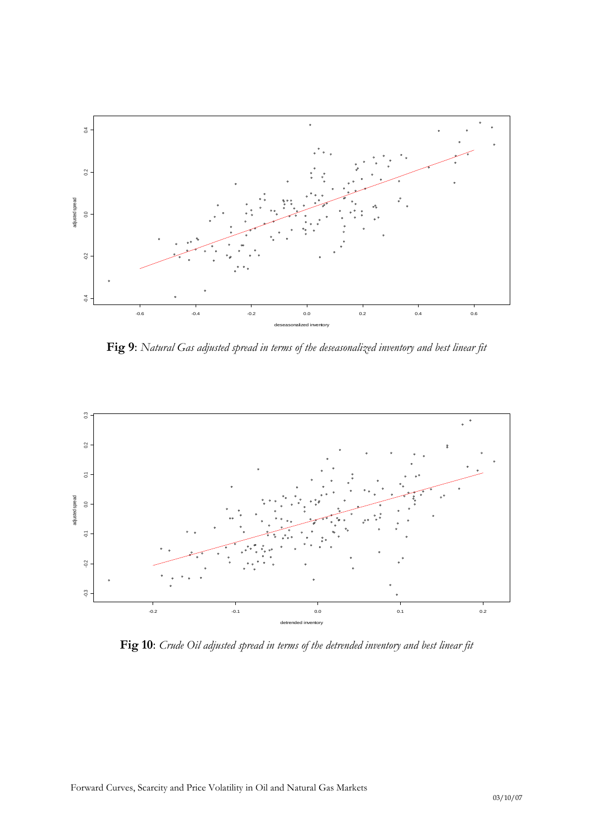

**Fig 9**: *Natural Gas adjusted spread in terms of the deseasonalized inventory and best linear fit*



**Fig 10**: *Crude Oil adjusted spread in terms of the detrended inventory and best linear fit*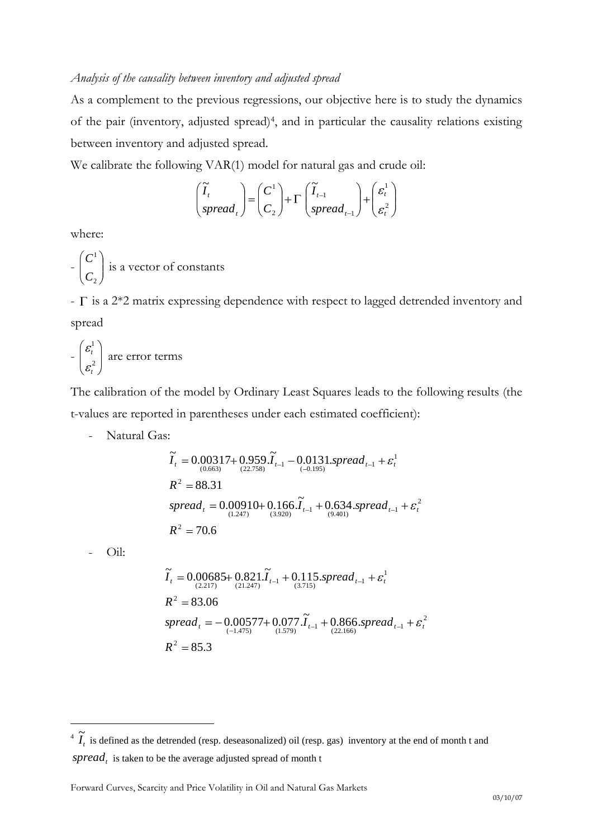#### *Analysis of the causality between inventory and adjusted spread*

As a complement to the previous regressions, our objective here is to study the dynamics of the pair (inventory, adjusted spread)<sup>4</sup>, and in particular the causality relations existing between inventory and adjusted spread.

We calibrate the following VAR(1) model for natural gas and crude oil:

$$
\begin{pmatrix} \widetilde{I}_t \\ spread_t \end{pmatrix} = \begin{pmatrix} C^1 \\ C_2 \end{pmatrix} + \Gamma \begin{pmatrix} \widetilde{I}_{t-1} \\ spread_{t-1} \end{pmatrix} + \begin{pmatrix} \varepsilon_t^1 \\ \varepsilon_t^2 \end{pmatrix}
$$

where:

$$
- \begin{pmatrix} C^1 \\ C_2 \end{pmatrix}
$$
 is a vector of constants

-  $\Gamma$  is a 2\*2 matrix expressing dependence with respect to lagged detrended inventory and spread

$$
-\left(\frac{\varepsilon_t^1}{\varepsilon_t^2}\right)
$$
 are error terms

The calibration of the model by Ordinary Least Squares leads to the following results (the t-values are reported in parentheses under each estimated coefficient):

- Natural Gas:

$$
\begin{aligned}\n\widetilde{I}_t &= 0.00317 + 0.959 \cdot \widetilde{I}_{t-1} - 0.0131 \cdot spread_{t-1} + \varepsilon_t^1 \\
R^2 &= 88.31 \\
spread_t &= 0.00910 + 0.166 \cdot \widetilde{I}_{t-1} + 0.634 \cdot spread_{t-1} + \varepsilon_t^2 \\
R^2 &= 70.6\n\end{aligned}
$$

- Oil:

 $\overline{a}$ 

$$
\widetilde{I}_{t} = 0.00685 + 0.821.\widetilde{I}_{t-1} + 0.115.\text{spread}_{t-1} + \varepsilon_{t}^{1}
$$
\n
$$
R^{2} = 83.06
$$
\n
$$
spread_{t} = -0.00577 + 0.077.\widetilde{I}_{t-1} + 0.866.\text{spread}_{t-1} + \varepsilon_{t}^{2}
$$
\n
$$
R^{2} = 85.3
$$

<sup>&</sup>lt;sup>4</sup>  $\tilde{I}_t$  is defined as the detrended (resp. deseasonalized) oil (resp. gas) inventory at the end of month t and  $spread<sub>t</sub>$  is taken to be the average adjusted spread of month t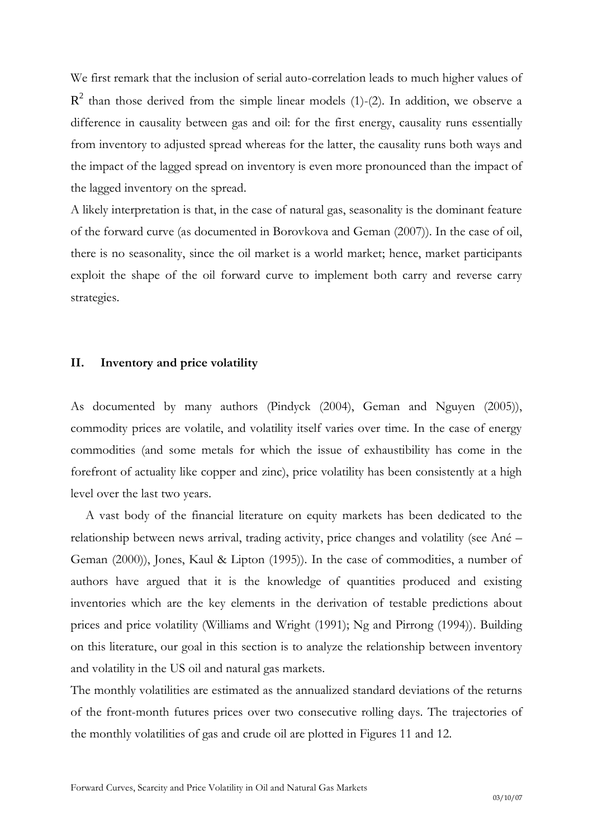We first remark that the inclusion of serial auto-correlation leads to much higher values of  $R^2$  than those derived from the simple linear models (1)-(2). In addition, we observe a difference in causality between gas and oil: for the first energy, causality runs essentially from inventory to adjusted spread whereas for the latter, the causality runs both ways and the impact of the lagged spread on inventory is even more pronounced than the impact of the lagged inventory on the spread.

A likely interpretation is that, in the case of natural gas, seasonality is the dominant feature of the forward curve (as documented in Borovkova and Geman (2007)). In the case of oil, there is no seasonality, since the oil market is a world market; hence, market participants exploit the shape of the oil forward curve to implement both carry and reverse carry strategies.

#### **II. Inventory and price volatility**

As documented by many authors (Pindyck (2004), Geman and Nguyen (2005)), commodity prices are volatile, and volatility itself varies over time. In the case of energy commodities (and some metals for which the issue of exhaustibility has come in the forefront of actuality like copper and zinc), price volatility has been consistently at a high level over the last two years.

A vast body of the financial literature on equity markets has been dedicated to the relationship between news arrival, trading activity, price changes and volatility (see Ané – Geman (2000)), Jones, Kaul & Lipton (1995)). In the case of commodities, a number of authors have argued that it is the knowledge of quantities produced and existing inventories which are the key elements in the derivation of testable predictions about prices and price volatility (Williams and Wright (1991); Ng and Pirrong (1994)). Building on this literature, our goal in this section is to analyze the relationship between inventory and volatility in the US oil and natural gas markets.

The monthly volatilities are estimated as the annualized standard deviations of the returns of the front-month futures prices over two consecutive rolling days. The trajectories of the monthly volatilities of gas and crude oil are plotted in Figures 11 and 12.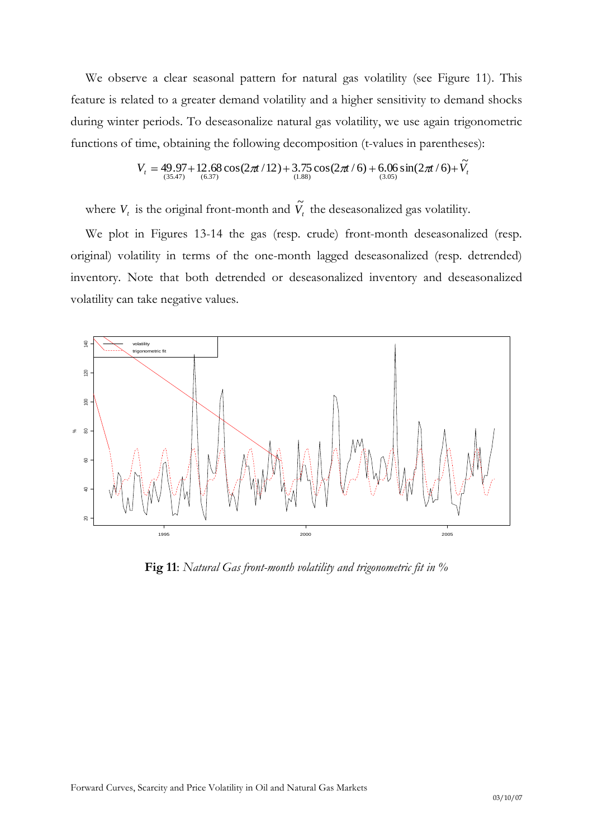We observe a clear seasonal pattern for natural gas volatility (see Figure 11). This feature is related to a greater demand volatility and a higher sensitivity to demand shocks during winter periods. To deseasonalize natural gas volatility, we use again trigonometric functions of time, obtaining the following decomposition (t-values in parentheses):

$$
V_t = 49.97 + 12.68 \cos(2\pi t/12) + 3.75 \cos(2\pi t/6) + 6.06 \sin(2\pi t/6) + \tilde{V}_t
$$
  
<sub>(3.88)</sub>

where  $V_t$  is the original front-month and  $\tilde{V}_t$  the deseasonalized gas volatility.

We plot in Figures 13-14 the gas (resp. crude) front-month deseasonalized (resp. original) volatility in terms of the one-month lagged deseasonalized (resp. detrended) inventory. Note that both detrended or deseasonalized inventory and deseasonalized volatility can take negative values.



**Fig 11**: *Natural Gas front-month volatility and trigonometric fit in %*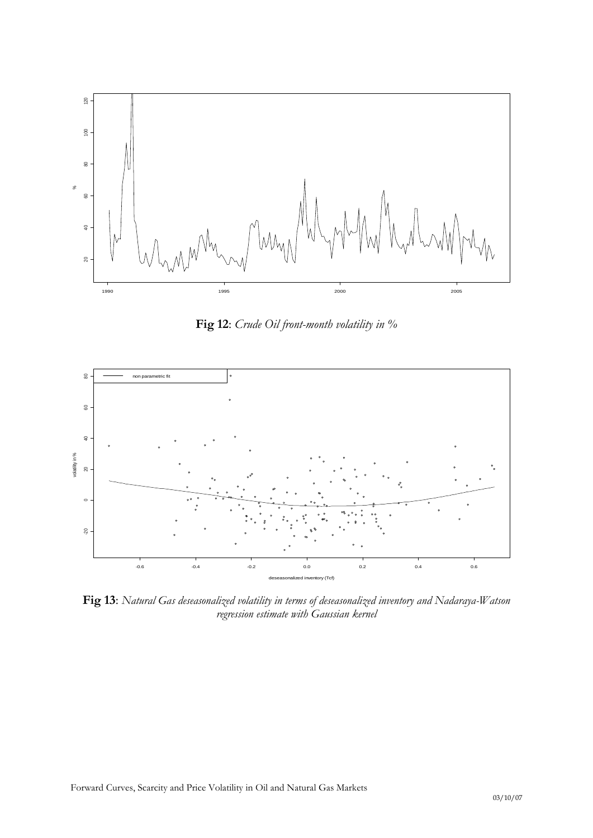

**Fig 12**: *Crude Oil front-month volatility in %*



**Fig 13**: *Natural Gas deseasonalized volatility in terms of deseasonalized inventory and Nadaraya-Watson regression estimate with Gaussian kernel*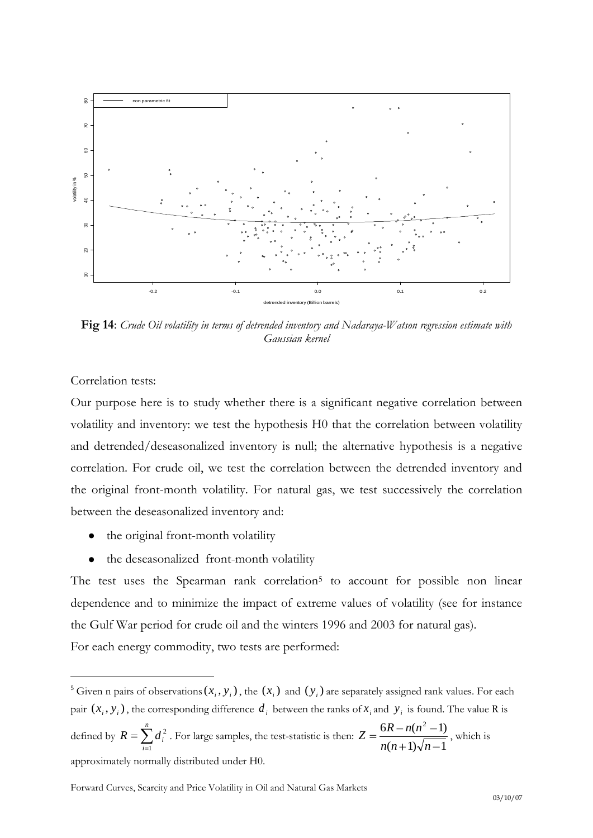

**Fig 14**: *Crude Oil volatility in terms of detrended inventory and Nadaraya-Watson regression estimate with Gaussian kernel*

Correlation tests:

 $\overline{a}$ 

Our purpose here is to study whether there is a significant negative correlation between volatility and inventory: we test the hypothesis H0 that the correlation between volatility and detrended/deseasonalized inventory is null; the alternative hypothesis is a negative correlation. For crude oil, we test the correlation between the detrended inventory and the original front-month volatility. For natural gas, we test successively the correlation between the deseasonalized inventory and:

- the original front-month volatility  $\bullet$
- $\bullet$ the deseasonalized front-month volatility

The test uses the Spearman rank correlation<sup>5</sup> to account for possible non linear dependence and to minimize the impact of extreme values of volatility (see for instance the Gulf War period for crude oil and the winters 1996 and 2003 for natural gas). For each energy commodity, two tests are performed:

<sup>&</sup>lt;sup>5</sup> Given n pairs of observations  $(x_i, y_i)$ , the  $(x_i)$  and  $(y_i)$  are separately assigned rank values. For each pair  $(x_i, y_i)$ , the corresponding difference  $d_i$  between the ranks of  $x_i$  and  $y_i$  is found. The value R is defined by *n i*  $R = \sum d_i$ 1  $\int_{i}^{2}$ . For large samples, the test-statistic is then:  $(n+1)\sqrt{n-1}$  $6R - n(n^2 - 1)$  $n(n+1)\sqrt{n}$  $Z = \frac{6R - n(n^2 - 1)}{2}$ , which is approximately normally distributed under H0.

Forward Curves, Scarcity and Price Volatility in Oil and Natural Gas Markets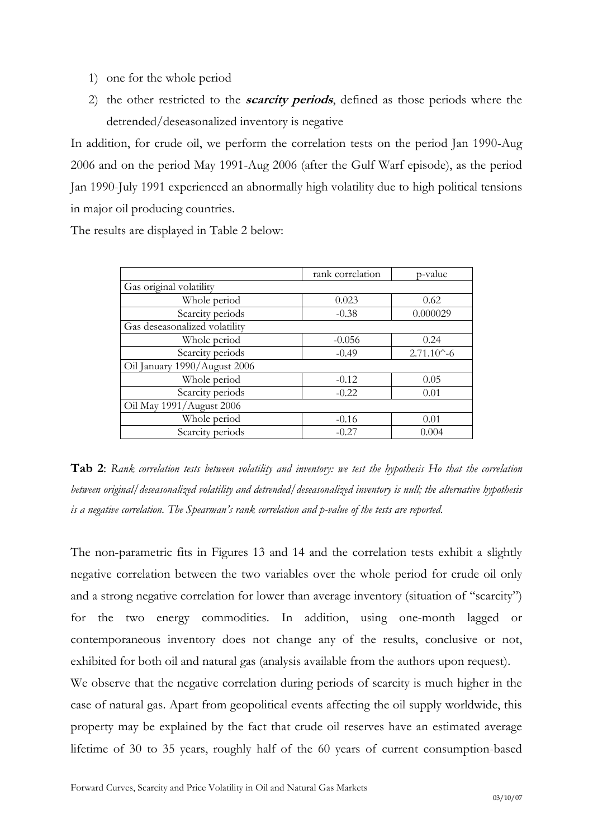- 1) one for the whole period
- 2) the other restricted to the **scarcity periods**, defined as those periods where the detrended/deseasonalized inventory is negative

In addition, for crude oil, we perform the correlation tests on the period Jan 1990-Aug 2006 and on the period May 1991-Aug 2006 (after the Gulf Warf episode), as the period Jan 1990-July 1991 experienced an abnormally high volatility due to high political tensions in major oil producing countries.

The results are displayed in Table 2 below:

|                               | rank correlation | p-value              |  |  |
|-------------------------------|------------------|----------------------|--|--|
| Gas original volatility       |                  |                      |  |  |
| Whole period                  | 0.023            | 0.62                 |  |  |
| Scarcity periods              | $-0.38$          | 0.000029             |  |  |
| Gas deseasonalized volatility |                  |                      |  |  |
| Whole period                  | $-0.056$         | 0.24                 |  |  |
| Scarcity periods              | $-0.49$          | $2.71.10^{\circ}$ -6 |  |  |
| Oil January 1990/August 2006  |                  |                      |  |  |
| Whole period                  | $-0.12$          | 0.05                 |  |  |
| Scarcity periods              | $-0.22$          | 0.01                 |  |  |
| Oil May 1991/August 2006      |                  |                      |  |  |
| Whole period                  | $-0.16$          | 0.01                 |  |  |
| Scarcity periods              | $-0.27$          | 0.004                |  |  |

**Tab 2**: *Rank correlation tests between volatility and inventory: we test the hypothesis Ho that the correlation between original/deseasonalized volatility and detrended/deseasonalized inventory is null; the alternative hypothesis is a negative correlation. The Spearman's rank correlation and p-value of the tests are reported.*

The non-parametric fits in Figures 13 and 14 and the correlation tests exhibit a slightly negative correlation between the two variables over the whole period for crude oil only and a strong negative correlation for lower than average inventory (situation of "scarcity") for the two energy commodities. In addition, using one-month lagged or contemporaneous inventory does not change any of the results, conclusive or not, exhibited for both oil and natural gas (analysis available from the authors upon request).

We observe that the negative correlation during periods of scarcity is much higher in the case of natural gas. Apart from geopolitical events affecting the oil supply worldwide, this property may be explained by the fact that crude oil reserves have an estimated average lifetime of 30 to 35 years, roughly half of the 60 years of current consumption-based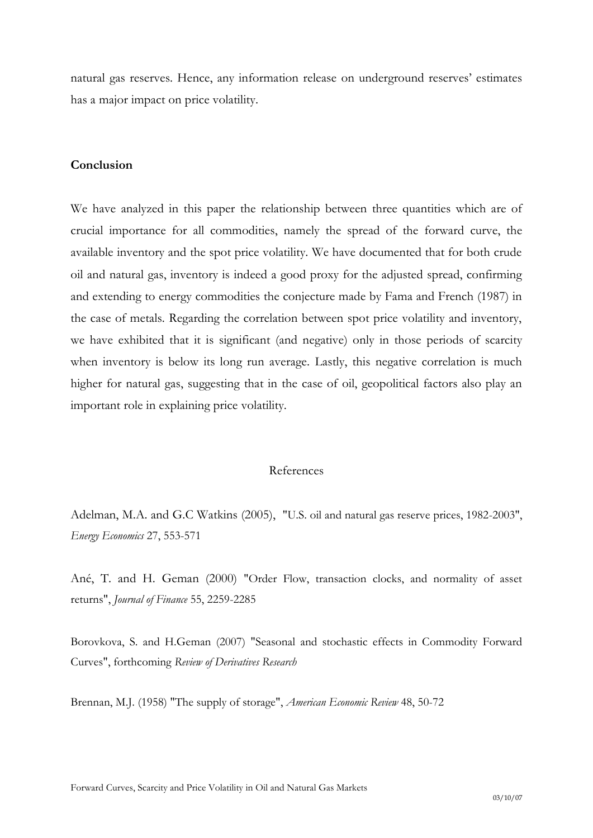natural gas reserves. Hence, any information release on underground reserves' estimates has a major impact on price volatility.

#### **Conclusion**

We have analyzed in this paper the relationship between three quantities which are of crucial importance for all commodities, namely the spread of the forward curve, the available inventory and the spot price volatility. We have documented that for both crude oil and natural gas, inventory is indeed a good proxy for the adjusted spread, confirming and extending to energy commodities the conjecture made by Fama and French (1987) in the case of metals. Regarding the correlation between spot price volatility and inventory, we have exhibited that it is significant (and negative) only in those periods of scarcity when inventory is below its long run average. Lastly, this negative correlation is much higher for natural gas, suggesting that in the case of oil, geopolitical factors also play an important role in explaining price volatility.

### References

Adelman, M.A. and G.C Watkins (2005), "U.S. oil and natural gas reserve prices, 1982-2003", *Energy Economics* 27, 553-571

Ané, T. and H. Geman (2000) "Order Flow, transaction clocks, and normality of asset returns", *Journal of Finance* 55, 2259-2285

Borovkova, S. and H.Geman (2007) "Seasonal and stochastic effects in Commodity Forward Curves", forthcoming *Review of Derivatives Research*

Brennan, M.J. (1958) "The supply of storage", *American Economic Review* 48, 50-72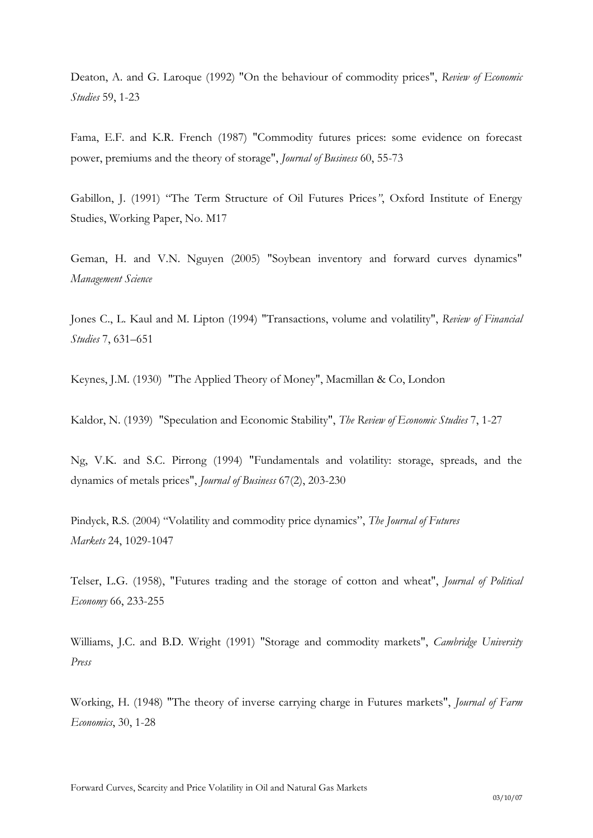Deaton, A. and G. Laroque (1992) "On the behaviour of commodity prices", *Review of Economic Studies* 59, 1-23

Fama, E.F. and K.R. French (1987) "Commodity futures prices: some evidence on forecast power, premiums and the theory of storage", *Journal of Business* 60, 55-73

Gabillon, J. (1991) "The Term Structure of Oil Futures Prices*"*, Oxford Institute of Energy Studies, Working Paper, No. M17

Geman, H. and V.N. Nguyen (2005) "Soybean inventory and forward curves dynamics" *Management Science*

Jones C., L. Kaul and M. Lipton (1994) "Transactions, volume and volatility", *Review of Financial Studies* 7, 631–651

Keynes, J.M. (1930) "The Applied Theory of Money", Macmillan & Co, London

Kaldor, N. (1939) "Speculation and Economic Stability", *The Review of Economic Studies* 7, 1-27

Ng, V.K. and S.C. Pirrong (1994) "Fundamentals and volatility: storage, spreads, and the dynamics of metals prices", *Journal of Business* 67(2), 203-230

Pindyck, R.S. (2004) "Volatility and commodity price dynamics", *The Journal of Futures Markets* 24, 1029-1047

Telser, L.G. (1958), "Futures trading and the storage of cotton and wheat", *Journal of Political Economy* 66, 233-255

Williams, J.C. and B.D. Wright (1991) "Storage and commodity markets", *Cambridge University Press*

Working, H. (1948) "The theory of inverse carrying charge in Futures markets", *Journal of Farm Economics*, 30, 1-28